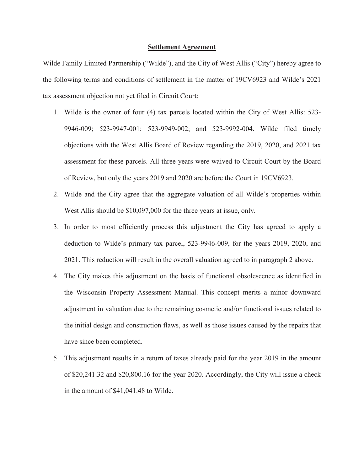## **Settlement Agreement**

Wilde Family Limited Partnership ("Wilde"), and the City of West Allis ("City") hereby agree to the following terms and conditions of settlement in the matter of 19CV6923 and Wilde's 2021 tax assessment objection not yet filed in Circuit Court:

- 1. Wilde is the owner of four (4) tax parcels located within the City of West Allis: 523- 9946-009; 523-9947-001; 523-9949-002; and 523-9992-004. Wilde filed timely objections with the West Allis Board of Review regarding the 2019, 2020, and 2021 tax assessment for these parcels. All three years were waived to Circuit Court by the Board of Review, but only the years 2019 and 2020 are before the Court in 19CV6923.
- 2. Wilde and the City agree that the aggregate valuation of all Wilde's properties within West Allis should be \$10,097,000 for the three years at issue, only.
- 3. In order to most efficiently process this adjustment the City has agreed to apply a deduction to Wilde's primary tax parcel, 523-9946-009, for the years 2019, 2020, and 2021. This reduction will result in the overall valuation agreed to in paragraph 2 above.
- 4. The City makes this adjustment on the basis of functional obsolescence as identified in the Wisconsin Property Assessment Manual. This concept merits a minor downward adjustment in valuation due to the remaining cosmetic and/or functional issues related to the initial design and construction flaws, as well as those issues caused by the repairs that have since been completed.
- 5. This adjustment results in a return of taxes already paid for the year 2019 in the amount of \$20,241.32 and \$20,800.16 for the year 2020. Accordingly, the City will issue a check in the amount of \$41,041.48 to Wilde.